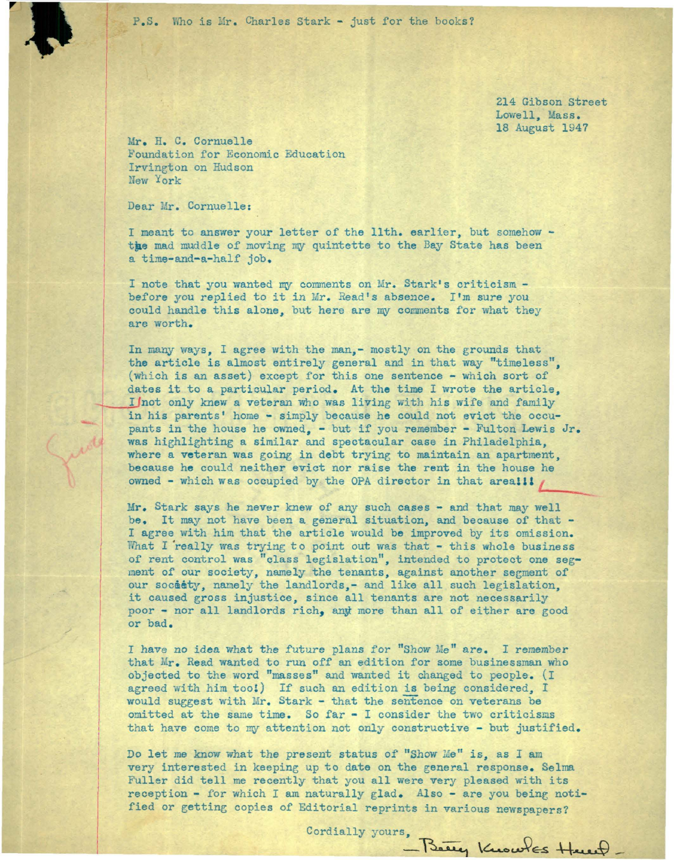P.S. Who is Mr. Charles Stark - just for the books?

214 Gibson Street Lowell, Mass. 18 August 1947

Mr. H. C. Cornuelle Foundation for Economic Education Irvington on Hudson New York

Dear Mr. Cornuelle:

I meant to answer your letter of the 11th. earlier, but somehow the mad muddle of moving my quintette to the Bay State has been a time-and-a-half job.

I note that you wanted my comments on Mr. Stark's criticism before you replied to it in Mr. Read's absence. I'm sure you could handle this alone, but here are my comments for what they are worth.

In many ways, I agree with the *man,-* mostly on the grounds that the article is almost entirely general and in that way "timeless", (which is an asset) except for this one sentence - which sort of dates it to a particular period. At the time I wrote the article, I not only knew a veteran who was living with his wife and family in his parents' home - simply because he could not evict the occupants in the house he owned, - but if you remember - Fulton Lewis  $Jr_{\bullet}$ was highlighting a similar and spectacular case in Philadelphia, where a veteran was going in debt trying to maintain an apartment, be cause he could neither evict nor raise the rent in the house he owned - which was occupied by the OPA director in that area!!!

Mr. Stark says he never knew of any such cases - and that may well be. It may not have been a general situation, and because of that -I agree with him that the article would be improved by its omission. What I really was trying to point out was that - this whole business of rent control was "class legislation", intended to protect one segment of our society, namely the tenants, against another segment of our society, namely the landlords,- and like all such legislation. it caused gross injustice, since all tenants are not necessarily poor - nor all landlords rich, anyt more than all of either are good or bad.

I have no idea what the future plans for "Show Me" are. I remember that Mr. Read wanted to run off an edition for some businessman who objected to the word "masses" and wanted it changed to people . (I agreed with him too!) If such an edition is being considered, I would suggest with Mr. Stark - that the sentence on veterans be omitted at the same time. So far  $-$  I consider the two criticisms that have come to my attention not only constructive - but justified.

Do let me know what the present status of "Show Me" is, as I am very interested in keeping up to date on the general response. Selma Fuller did tell me recently that you all were very pleased with its reception - for which I am naturally glad. Also - are you being notified or getting copies of Editorial reprints in various newspapers?

Cordially yours, Being Knowles Henry